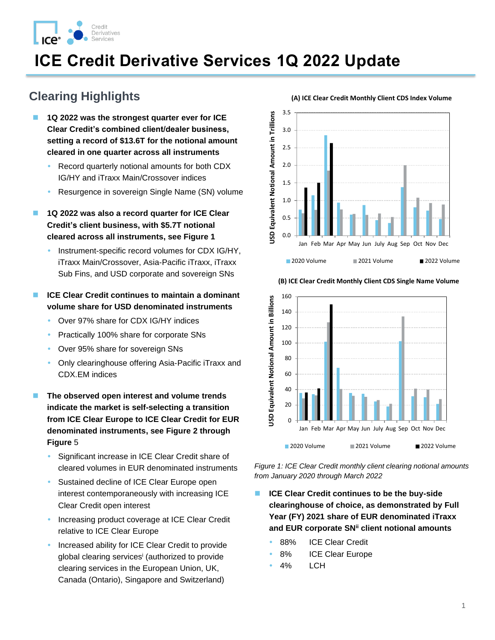

# **ICE Credit Derivative Services 1Q 2022 Update**

## **Clearing Highlights**

- ◼ **1Q 2022 was the strongest quarter ever for ICE Clear Credit's combined client/dealer business, setting a record of \$13.6T for the notional amount cleared in one quarter across all instruments** 
	- Record quarterly notional amounts for both CDX IG/HY and iTraxx Main/Crossover indices
	- Resurgence in sovereign Single Name (SN) volume
- ◼ **1Q 2022 was also a record quarter for ICE Clear Credit's client business, with \$5.7T notional cleared across all instruments, see [Figure 1](#page-0-0)**
	- Instrument-specific record volumes for CDX IG/HY, iTraxx Main/Crossover, Asia-Pacific iTraxx, iTraxx Sub Fins, and USD corporate and sovereign SNs

### ■ **ICE Clear Credit continues to maintain a dominant volume share for USD denominated instruments**

- Over 97% share for CDX IG/HY indices
- Practically 100% share for corporate SNs
- Over 95% share for sovereign SNs
- Only clearinghouse offering Asia-Pacific iTraxx and CDX.EM indices
- ◼ **The observed open interest and volume trends indicate the market is self-selecting a transition from ICE Clear Europe to ICE Clear Credit for EUR denominated instruments, see [Figure 2](#page-1-0) through [Figure](#page-5-0)** 5
	- Significant increase in ICE Clear Credit share of cleared volumes in EUR denominated instruments
	- Sustained decline of ICE Clear Europe open interest contemporaneously with increasing ICE Clear Credit open interest
	- Increasing product coverage at ICE Clear Credit relative to ICE Clear Europe
	- Increased ability for ICE Clear Credit to provide global clearing services<sup>i</sup> (authorized to provide clearing services in the European Union, UK, Canada (Ontario), Singapore and Switzerland)





**(B) ICE Clear Credit Monthly Client CDS Single Name Volume**

<span id="page-0-0"></span>*Figure 1: ICE Clear Credit monthly client clearing notional amounts from January 2020 through March 2022* 

- **ICE Clear Credit continues to be the buy-side clearinghouse of choice, as demonstrated by Full Year (FY) 2021 share of EUR denominated iTraxx and EUR corporate SNii client notional amounts**
	- 88% ICE Clear Credit
	- 8% ICE Clear Europe
	- 4% LCH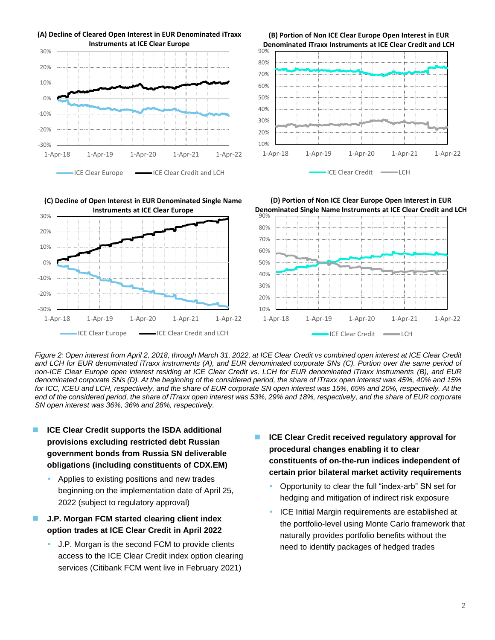

**(B) Portion of Non ICE Clear Europe Open Interest in EUR Denominated iTraxx Instruments at ICE Clear Credit and LCH**



20% 30% **(C) Decline of Open Interest in EUR Denominated Single Name Instruments at ICE Clear Europe**

1-Apr-18 1-Apr-19 1-Apr-20 1-Apr-21 1-Apr-22

ICE Clear Europe **ICE Clear Credit and LCH** 





<span id="page-1-0"></span>*Figure 2: Open interest from April 2, 2018, through March 31, 2022, at ICE Clear Credit vs combined open interest at ICE Clear Credit and LCH for EUR denominated iTraxx instruments (A), and EUR denominated corporate SNs (C). Portion over the same period of non-ICE Clear Europe open interest residing at ICE Clear Credit vs. LCH for EUR denominated iTraxx instruments (B), and EUR denominated corporate SNs (D). At the beginning of the considered period, the share of iTraxx open interest was 45%, 40% and 15% for ICC, ICEU and LCH, respectively, and the share of EUR corporate SN open interest was 15%, 65% and 20%, respectively. At the end of the considered period, the share of iTraxx open interest was 53%, 29% and 18%, respectively, and the share of EUR corporate SN open interest was 36%, 36% and 28%, respectively.* 

■ **ICE Clear Credit supports the ISDA additional provisions excluding restricted debt Russian government bonds from Russia SN deliverable obligations (including constituents of CDX.EM)**

-30% -20% -10% 0%

10%

- Applies to existing positions and new trades beginning on the implementation date of April 25, 2022 (subject to regulatory approval)
- ◼ **J.P. Morgan FCM started clearing client index option trades at ICE Clear Credit in April 2022**
	- J.P. Morgan is the second FCM to provide clients access to the ICE Clear Credit index option clearing services (Citibank FCM went live in February 2021)
- ◼ **ICE Clear Credit received regulatory approval for procedural changes enabling it to clear constituents of on-the-run indices independent of certain prior bilateral market activity requirements**
	- Opportunity to clear the full "index-arb" SN set for hedging and mitigation of indirect risk exposure
	- ICE Initial Margin requirements are established at the portfolio-level using Monte Carlo framework that naturally provides portfolio benefits without the need to identify packages of hedged trades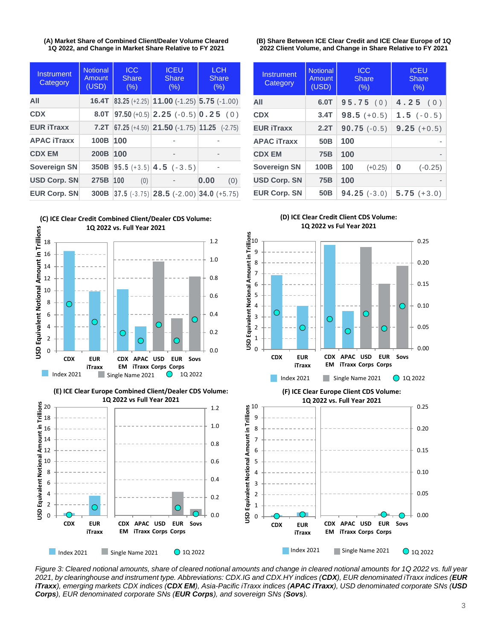**(A) Market Share of Combined Client/Dealer Volume Cleared 1Q 2022, and Change in Market Share Relative to FY 2021**

| Instrument<br>Category | <b>Notional</b><br>Amount<br>(USD) | <b>ICC</b><br>Share<br>(% ) | <b>ICEU</b><br>Share<br>(% )                                        | <b>LCH</b><br><b>Share</b><br>(%) |  |
|------------------------|------------------------------------|-----------------------------|---------------------------------------------------------------------|-----------------------------------|--|
| AII                    |                                    |                             | <b>16.4T</b> 83.25 (+2.25) <b>11.00</b> (-1.25) <b>5.75</b> (-1.00) |                                   |  |
| <b>CDX</b>             | 8.0T                               |                             | $97.50 (+0.5)$ $2.25 (-0.5)$ $0.25 (0)$                             |                                   |  |
| <b>EUR iTraxx</b>      | 7.2T                               |                             | $ 67.25(+4.50) $ 21.50 (-1.75) 11.25 (-2.75)                        |                                   |  |
| <b>APAC iTraxx</b>     | 100B                               | 100                         |                                                                     |                                   |  |
| <b>CDX EM</b>          | 200B                               | 100                         | -                                                                   |                                   |  |
| <b>Sovereign SN</b>    | 350B                               |                             | $ 95.5 (+3.5)  4.5 (-3.5)$                                          |                                   |  |
| <b>USD Corp. SN</b>    | 275B                               | 100<br>(0)                  |                                                                     | 0.00<br>(0)                       |  |
| <b>EUR Corp. SN</b>    | 300B                               |                             | $37.5$ (-3.75) <b>28.5</b> (-2.00) <b>34.0</b> (+5.75)              |                                   |  |



**(E) ICE Clear Europe Combined Client/Dealer CDS Volume: 1Q 2022 vs Full Year 2021**



**(B) Share Between ICE Clear Credit and ICE Clear Europe of 1Q 2022 Client Volume, and Change in Share Relative to FY 2021**

| Instrument<br>Category | <b>Notional</b><br>Amount<br>(USD) | <b>ICC</b><br><b>Share</b><br>(% ) | <b>ICEU</b><br><b>Share</b><br>(% ) |
|------------------------|------------------------------------|------------------------------------|-------------------------------------|
| AII                    | 6.0T                               | 95.75(0)                           | 4.25(0)                             |
| <b>CDX</b>             | 3.4T                               | $98.5 (+0.5)$                      | $1.5(-0.5)$                         |
| <b>EUR iTraxx</b>      | 2.2T                               | $90.75(-0.5)$                      | $9.25 (+0.5)$                       |
| <b>APAC iTraxx</b>     | 50 <sub>B</sub>                    | 100                                |                                     |
| <b>CDX EM</b>          | <b>75B</b>                         | 100                                | ٠                                   |
| <b>Sovereign SN</b>    | 100B                               | 100<br>$(+0.25)$                   | 0<br>$(-0.25)$                      |
| <b>USD Corp. SN</b>    | <b>75B</b>                         | 100                                |                                     |
| <b>EUR Corp. SN</b>    | 50 <sub>B</sub>                    | $94.25(-3.0)$                      | $5.75 (+3.0)$                       |

**(D) ICE Clear Credit Client CDS Volume:**



<span id="page-2-0"></span>*Figure 3: Cleared notional amounts, share of cleared notional amounts and change in cleared notional amounts for 1Q 2022 vs. full year 2021, by clearinghouse and instrument type. Abbreviations: CDX.IG and CDX.HY indices (CDX), EUR denominated iTraxx indices (EUR iTraxx), emerging markets CDX indices (CDX EM), Asia-Pacific iTraxx indices (APAC iTraxx), USD denominated corporate SNs (USD Corps), EUR denominated corporate SNs (EUR Corps), and sovereign SNs (Sovs).*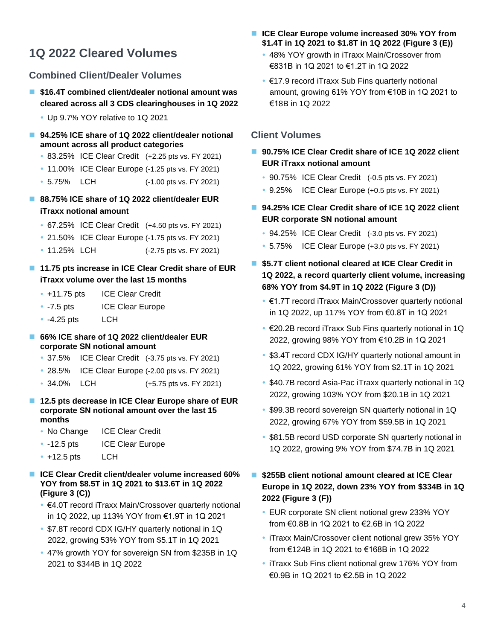# **1Q 2022 Cleared Volumes**

### **Combined Client/Dealer Volumes**

- \$16.4T combined client/dealer notional amount was **cleared across all 3 CDS clearinghouses in 1Q 2022**
	- Up 9.7% YOY relative to 1Q 2021
- 94.25% ICE share of 1Q 2022 client/dealer notional **amount across all product categories**
	- 83.25% ICE Clear Credit (+2.25 pts vs. FY 2021)
	- 11.00% ICE Clear Europe (-1.25 pts vs. FY 2021)
	- 5.75% LCH (-1.00 pts vs. FY 2021)
- 88.75% ICE share of 1Q 2022 client/dealer EUR **iTraxx notional amount**
	- 67.25% ICE Clear Credit (+4.50 pts vs. FY 2021)
	- 21.50% ICE Clear Europe (-1.75 pts vs. FY 2021)
	- 11.25% LCH (-2.75 pts vs. FY 2021)

### ■ 11.75 pts increase in ICE Clear Credit share of EUR **iTraxx volume over the last 15 months**

- +11.75 pts ICE Clear Credit
- -7.5 pts ICE Clear Europe
- $\cdot$  -4.25 pts LCH

#### ■ 66% ICE share of 1Q 2022 client/dealer EUR **corporate SN notional amount**

- 37.5% ICE Clear Credit (-3.75 pts vs. FY 2021)
- 28.5% ICE Clear Europe (-2.00 pts vs. FY 2021)
- 34.0% LCH (+5.75 pts vs. FY 2021)

#### ■ 12.5 pts decrease in ICE Clear Europe share of EUR **corporate SN notional amount over the last 15 months**

- No Change ICE Clear Credit
- -12.5 pts ICE Clear Europe
- $\cdot$  +12.5 pts LCH
- **ICE Clear Credit client/dealer volume increased 60% YOY from \$8.5T in 1Q 2021 to \$13.6T in 1Q 2022 [\(Figure 3](#page-2-0) (C))**
	- €4.0T record iTraxx Main/Crossover quarterly notional in 1Q 2022, up 113% YOY from €1.9T in 1Q 2021
	- \$7.8T record CDX IG/HY quarterly notional in 1Q 2022, growing 53% YOY from \$5.1T in 1Q 2021
	- 47% growth YOY for sovereign SN from \$235B in 1Q 2021 to \$344B in 1Q 2022
- **ICE Clear Europe volume increased 30% YOY from \$1.4T in 1Q 2021 to \$1.8T in 1Q 2022 [\(Figure 3](#page-2-0) (E))**
	- 48% YOY growth in iTraxx Main/Crossover from €831B in 1Q 2021 to €1.2T in 1Q 2022
	- €17.9 record iTraxx Sub Fins quarterly notional amount, growing 61% YOY from €10B in 1Q 2021 to €18B in 1Q 2022

### **Client Volumes**

- 90.75% ICE Clear Credit share of ICE 1Q 2022 client **EUR iTraxx notional amount** 
	- 90.75% ICE Clear Credit (-0.5 pts vs. FY 2021)
	- 9.25% ICE Clear Europe (+0.5 pts vs. FY 2021)
- 94.25% ICE Clear Credit share of ICE 1Q 2022 client **EUR corporate SN notional amount** 
	- 94.25% ICE Clear Credit (-3.0 pts vs. FY 2021)
	- 5.75% ICE Clear Europe (+3.0 pts vs. FY 2021)
- \$5.7T client notional cleared at ICE Clear Credit in **1Q 2022, a record quarterly client volume, increasing 68% YOY from \$4.9T in 1Q 2022 [\(Figure 3](#page-2-0) (D))**
	- €1.7T record iTraxx Main/Crossover quarterly notional in 1Q 2022, up 117% YOY from €0.8T in 1Q 2021
	- €20.2B record iTraxx Sub Fins quarterly notional in 1Q 2022, growing 98% YOY from €10.2B in 1Q 2021
	- \$3.4T record CDX IG/HY quarterly notional amount in 1Q 2022, growing 61% YOY from \$2.1T in 1Q 2021
	- \$40.7B record Asia-Pac iTraxx quarterly notional in 1Q 2022, growing 103% YOY from \$20.1B in 1Q 2021
	- \$99.3B record sovereign SN quarterly notional in 1Q 2022, growing 67% YOY from \$59.5B in 1Q 2021
	- \$81.5B record USD corporate SN quarterly notional in 1Q 2022, growing 9% YOY from \$74.7B in 1Q 2021
- \$255B client notional amount cleared at ICE Clear **Europe in 1Q 2022, down 23% YOY from \$334B in 1Q 2022 [\(Figure 3](#page-2-0) (F))**
	- EUR corporate SN client notional grew 233% YOY from €0.8B in 1Q 2021 to €2.6B in 1Q 2022
	- iTraxx Main/Crossover client notional grew 35% YOY from €124B in 1Q 2021 to €168B in 1Q 2022
	- iTraxx Sub Fins client notional grew 176% YOY from €0.9B in 1Q 2021 to €2.5B in 1Q 2022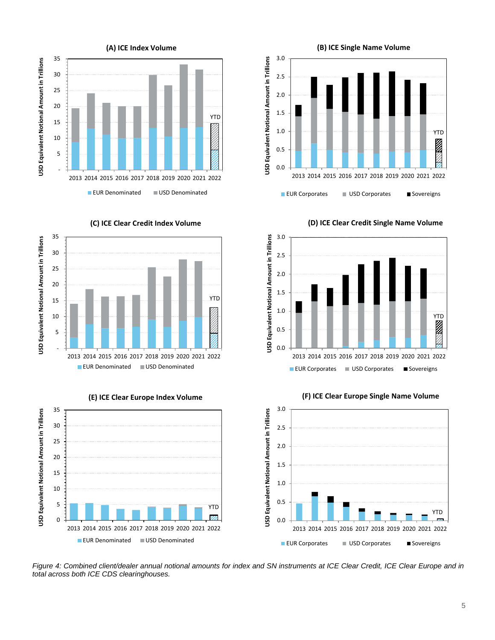

 35 USD Equivalent Notional Amount in Trillions **USD Equivalent Notional Amount in Trillions** 30 25 20 YTD 15 10 5 - 2013 2014 2015 2016 2017 2018 2019 2020 2021 2022 **EUR Denominated USD Denominated** 







0.0

0.5

1.0

1.5

**USD Equivalent Notional Amount in Trillions**

USD Equivalent Notional Amount in Trillions

2.0

2.5

3.0

2013 2014 2015 2016 2017 2018 2019 2020 2021 2022

**EUR Corporates** USD Corporates Sovereigns

**(B) ICE Single Name Volume**



**(F) ICE Clear Europe Single Name Volume**



<span id="page-4-0"></span>*Figure 4: Combined client/dealer annual notional amounts for index and SN instruments at ICE Clear Credit, ICE Clear Europe and in total across both ICE CDS clearinghouses.* 

# **(D) ICE Clear Credit Single Name Volume**

YTD

 $\overline{Z}$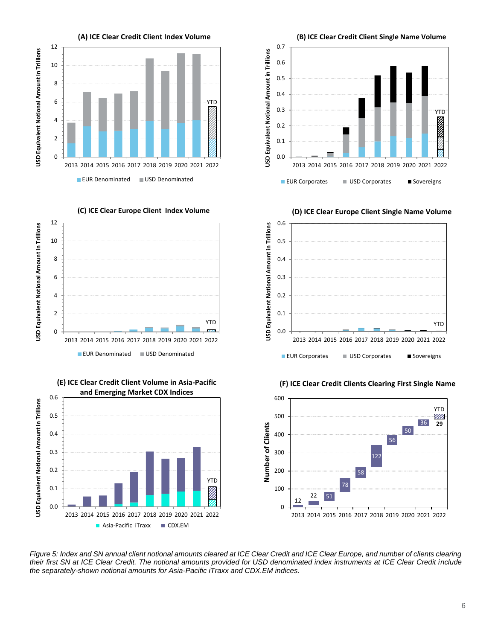



**(E) ICE Clear Credit Client Volume in Asia-Pacific** 





**(D) ICE Clear Europe Client Single Name Volume**



**(F) ICE Clear Credit Clients Clearing First Single Name**



<span id="page-5-0"></span>*Figure 5: Index and SN annual client notional amounts cleared at ICE Clear Credit and ICE Clear Europe, and number of clients clearing their first SN at ICE Clear Credit. The notional amounts provided for USD denominated index instruments at ICE Clear Credit include the separately-shown notional amounts for Asia-Pacific iTraxx and CDX.EM indices.* 

6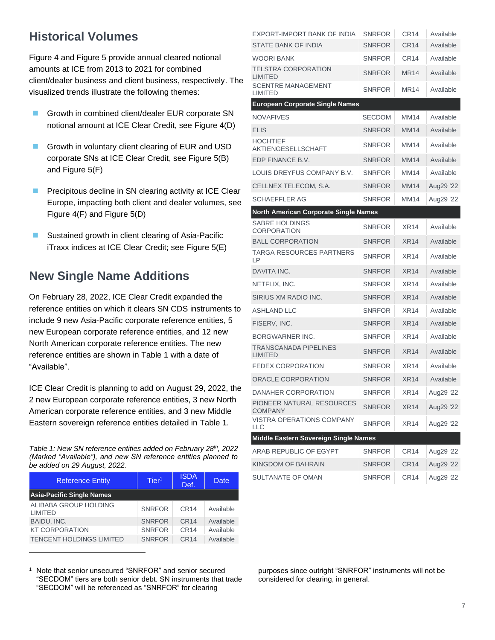# **Historical Volumes**

[Figure 4](#page-4-0) and [Figure 5](#page-5-0) provide annual cleared notional amounts at ICE from 2013 to 2021 for combined client/dealer business and client business, respectively. The visualized trends illustrate the following themes:

- Growth in combined client/dealer EUR corporate SN notional amount at ICE Clear Credit, see [Figure 4\(](#page-4-0)D)
- Growth in voluntary client clearing of EUR and USD corporate SNs at ICE Clear Credit, see [Figure 5\(](#page-5-0)B) and [Figure 5\(](#page-5-0)F)
- Precipitous decline in SN clearing activity at ICE Clear Europe, impacting both client and dealer volumes, see [Figure 4\(](#page-4-0)F) and [Figure 5\(](#page-5-0)D)
- Sustained growth in client clearing of Asia-Pacific iTraxx indices at ICE Clear Credit; see [Figure 5\(](#page-5-0)E)

# **New Single Name Additions**

On February 28, 2022, ICE Clear Credit expanded the reference entities on which it clears SN CDS instruments to include 9 new Asia-Pacific corporate reference entities, 5 new European corporate reference entities, and 12 new North American corporate reference entities. The new reference entities are shown in [Table 1](#page-6-0) with a date of "Available".

ICE Clear Credit is planning to add on August 29, 2022, the 2 new European corporate reference entities, 3 new North American corporate reference entities, and 3 new Middle Eastern sovereign reference entities detailed in [Table 1.](#page-6-0)

<span id="page-6-0"></span>*Table 1: New SN reference entities added on February 28th, 2022 (Marked "Available"), and new SN reference entities planned to be added on 29 August, 2022.* 

| <b>Reference Entity</b>          | Tier <sup>1</sup> | <b>ISDA</b><br>Def. | <b>Date</b> |  |  |
|----------------------------------|-------------------|---------------------|-------------|--|--|
| <b>Asia-Pacific Single Names</b> |                   |                     |             |  |  |
| ALIBABA GROUP HOLDING<br>LIMITED | <b>SNRFOR</b>     | CR14                | Available   |  |  |
| BAIDU, INC.                      | <b>SNRFOR</b>     | CR <sub>14</sub>    | Available   |  |  |
| <b>KT CORPORATION</b>            | <b>SNRFOR</b>     | CR <sub>14</sub>    | Available   |  |  |
| <b>TENCENT HOLDINGS LIMITED</b>  | <b>SNRFOR</b>     | CR <sub>14</sub>    | Available   |  |  |

<sup>1</sup> Note that senior unsecured "SNRFOR" and senior secured "SECDOM" tiers are both senior debt. SN instruments that trade "SECDOM" will be referenced as "SNRFOR" for clearing

| EXPORT-IMPORT BANK OF INDIA                    | <b>SNRFOR</b> | CR <sub>14</sub> | Available |
|------------------------------------------------|---------------|------------------|-----------|
| STATE BANK OF INDIA                            | <b>SNRFOR</b> | CR <sub>14</sub> | Available |
| WOORI BANK                                     | <b>SNRFOR</b> | CR <sub>14</sub> | Available |
| TELSTRA CORPORATION<br><b>LIMITED</b>          | <b>SNRFOR</b> | <b>MR14</b>      | Available |
| <b>SCENTRE MANAGEMENT</b><br>LIMITED           | <b>SNRFOR</b> | <b>MR14</b>      | Available |
| <b>European Corporate Single Names</b>         |               |                  |           |
| <b>NOVAFIVES</b>                               | <b>SECDOM</b> | MM14             | Available |
| <b>ELIS</b>                                    | <b>SNRFOR</b> | <b>MM14</b>      | Available |
| <b>HOCHTIEF</b><br>AKTIENGESELLSCHAFT          | <b>SNRFOR</b> | <b>MM14</b>      | Available |
| EDP FINANCE B.V.                               | <b>SNRFOR</b> | <b>MM14</b>      | Available |
| LOUIS DREYFUS COMPANY B.V.                     | <b>SNRFOR</b> | MM14             | Available |
| CELLNEX TELECOM, S.A.                          | <b>SNRFOR</b> | <b>MM14</b>      | Aug29 '22 |
| <b>SCHAEFFLER AG</b>                           | <b>SNRFOR</b> | MM14             | Aug29 '22 |
| <b>North American Corporate Single Names</b>   |               |                  |           |
| <b>SABRE HOLDINGS</b><br><b>CORPORATION</b>    | <b>SNRFOR</b> | XR14             | Available |
| <b>BALL CORPORATION</b>                        | <b>SNRFOR</b> | XR14             | Available |
| <b>TARGA RESOURCES PARTNERS</b><br>LР          | <b>SNRFOR</b> | <b>XR14</b>      | Available |
| DAVITA INC.                                    | <b>SNRFOR</b> | XR14             | Available |
| NETFLIX, INC.                                  | <b>SNRFOR</b> | <b>XR14</b>      | Available |
| SIRIUS XM RADIO INC.                           | <b>SNRFOR</b> | XR14             | Available |
| <b>ASHLAND LLC</b>                             | <b>SNRFOR</b> | XR14             | Available |
| FISERV, INC.                                   | <b>SNRFOR</b> | <b>XR14</b>      | Available |
| <b>BORGWARNER INC.</b>                         | <b>SNRFOR</b> | <b>XR14</b>      | Available |
| <b>TRANSCANADA PIPELINES</b><br><b>LIMITED</b> | <b>SNRFOR</b> | <b>XR14</b>      | Available |
| <b>FEDEX CORPORATION</b>                       | <b>SNRFOR</b> | <b>XR14</b>      | Available |
| ORACLE CORPORATION                             | <b>SNRFOR</b> | <b>XR14</b>      | Available |
| DANAHER CORPORATION                            | <b>SNRFOR</b> | <b>XR14</b>      | Aug29 '22 |
| PIONEER NATURAL RESOURCES<br><b>COMPANY</b>    | <b>SNRFOR</b> | XR14             | Aug29 '22 |
| VISTRA OPERATIONS COMPANY<br>LLC               | <b>SNRFOR</b> | <b>XR14</b>      | Aug29 '22 |
| Middle Eastern Sovereign Single Names          |               |                  |           |
| ARAB REPUBLIC OF EGYPT                         | <b>SNRFOR</b> | CR <sub>14</sub> | Aug29 '22 |
| KINGDOM OF BAHRAIN                             | <b>SNRFOR</b> | <b>CR14</b>      | Aug29 '22 |
| SULTANATE OF OMAN                              | <b>SNRFOR</b> | CR14             | Aug29 '22 |

purposes since outright "SNRFOR" instruments will not be considered for clearing, in general.